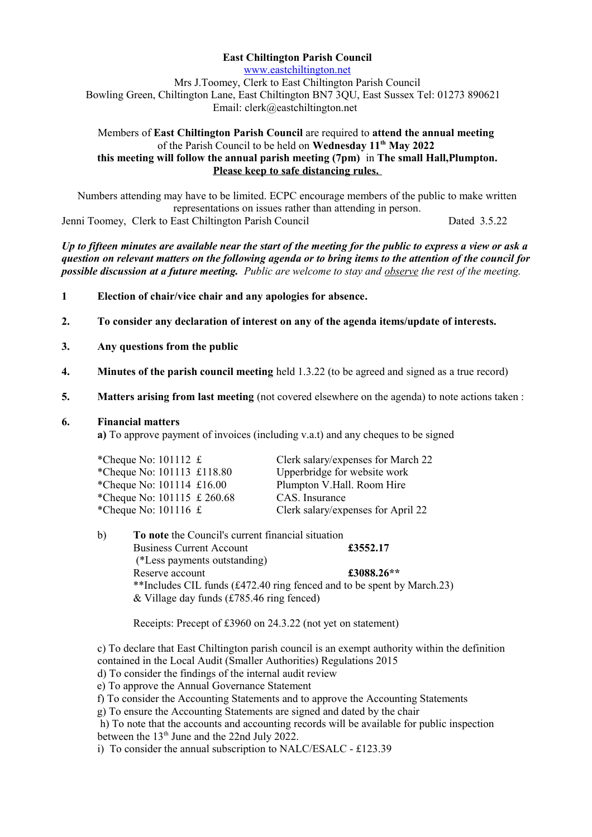# **East Chiltington Parish Council**

[www.eastchiltington.net](http://www.eastchiltington.net/) Mrs J.Toomey, Clerk to East Chiltington Parish Council Bowling Green, Chiltington Lane, East Chiltington BN7 3QU, East Sussex Tel: 01273 890621 Email: cler[k@eastchiltington.net](mailto:jt@chiltington.wanadoo.co.uk) 

#### Members of **East Chiltington Parish Council** are required to **attend the annual meeting**  of the Parish Council to be held on **Wednesday 11th May 2022 this meeting will follow the annual parish meeting (7pm)** in **The small Hall,Plumpton. Please keep to safe distancing rules.**

Numbers attending may have to be limited. ECPC encourage members of the public to make written representations on issues rather than attending in person. Jenni Toomey, Clerk to East Chiltington Parish Council Dated 3.5.22

*Up to fifteen minutes are available near the start of the meeting for the public to express a view or ask a question on relevant matters on the following agenda or to bring items to the attention of the council for possible discussion at a future meeting. Public are welcome to stay and observe the rest of the meeting.*

- **1 Election of chair/vice chair and any apologies for absence.**
- **2. To consider any declaration of interest on any of the agenda items/update of interests.**
- **3. Any questions from the public**
- **4. Minutes of the parish council meeting** held 1.3.22 (to be agreed and signed as a true record)
- **5. Matters arising from last meeting** (not covered elsewhere on the agenda) to note actions taken :

#### **6. Financial matters**

**a)** To approve payment of invoices (including v.a.t) and any cheques to be signed

| *Cheque No: $101112 \text{ } \pounds$ | Clerk salary/expenses for March 22 |  |
|---------------------------------------|------------------------------------|--|
| *Cheque No: 101113 £118.80            | Upperbridge for website work       |  |
| *Cheque No: $101114$ £16.00           | Plumpton V.Hall. Room Hire         |  |
| *Cheque No: 101115 £ 260.68           | CAS. Insurance                     |  |
| *Cheque No: $101116 \text{ } \pounds$ | Clerk salary/expenses for April 22 |  |
|                                       |                                    |  |

b) **To note** the Council's current financial situation Business Current Account **£3552.17** (\*Less payments outstanding) Reserve account **£3088.26\*\*** \*\*Includes CIL funds (£472.40 ring fenced and to be spent by March.23) & Village day funds (£785.46 ring fenced)

Receipts: Precept of £3960 on 24.3.22 (not yet on statement)

c) To declare that East Chiltington parish council is an exempt authority within the definition contained in the Local Audit (Smaller Authorities) Regulations 2015

d) To consider the findings of the internal audit review

e) To approve the Annual Governance Statement

f) To consider the Accounting Statements and to approve the Accounting Statements

g) To ensure the Accounting Statements are signed and dated by the chair

 h) To note that the accounts and accounting records will be available for public inspection between the  $13<sup>th</sup>$  June and the 22nd July 2022.

i) To consider the annual subscription to NALC/ESALC - £123.39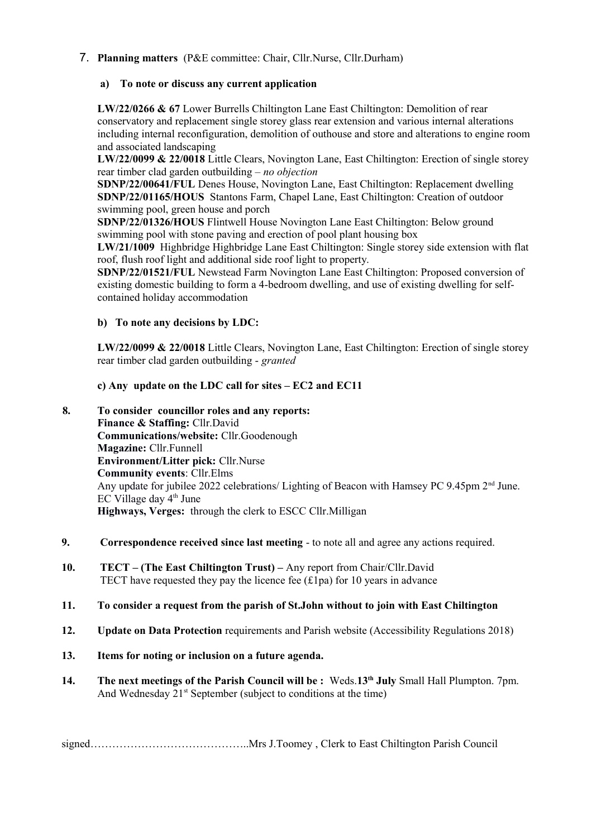# 7. **Planning matters** (P&E committee: Chair, Cllr.Nurse, Cllr.Durham)

## **a) To note or discuss any current application**

**LW/22/0266 & 67** Lower Burrells Chiltington Lane East Chiltington: Demolition of rear conservatory and replacement single storey glass rear extension and various internal alterations including internal reconfiguration, demolition of outhouse and store and alterations to engine room and associated landscaping

**LW/22/0099 & 22/0018** Little Clears, Novington Lane, East Chiltington: Erection of single storey rear timber clad garden outbuilding – *no objection*

**SDNP/22/00641/FUL** Denes House, Novington Lane, East Chiltington: Replacement dwelling **SDNP/22/01165/HOUS** Stantons Farm, Chapel Lane, East Chiltington: Creation of outdoor swimming pool, green house and porch

**SDNP/22/01326/HOUS** Flintwell House Novington Lane East Chiltington: Below ground swimming pool with stone paving and erection of pool plant housing box

**LW/21/1009** Highbridge Highbridge Lane East Chiltington: Single storey side extension with flat roof, flush roof light and additional side roof light to property.

**SDNP/22/01521/FUL** Newstead Farm Novington Lane East Chiltington: Proposed conversion of existing domestic building to form a 4-bedroom dwelling, and use of existing dwelling for selfcontained holiday accommodation

## **b) To note any decisions by LDC:**

**LW/22/0099 & 22/0018** Little Clears, Novington Lane, East Chiltington: Erection of single storey rear timber clad garden outbuilding - *granted*

## **c) Any update on the LDC call for sites – EC2 and EC11**

- **8. To consider councillor roles and any reports: Finance & Staffing:** Cllr.David **Communications/website:** Cllr.Goodenough **Magazine:** Cllr.Funnell **Environment/Litter pick:** Cllr.Nurse **Community events**: Cllr.Elms Any update for jubilee 2022 celebrations/ Lighting of Beacon with Hamsey PC 9.45pm 2<sup>nd</sup> June.  $EC$  Village day  $4<sup>th</sup>$  June **Highways, Verges:** through the clerk to ESCC Cllr.Milligan
- **9. Correspondence received since last meeting**  to note all and agree any actions required.
- **10. TECT (The East Chiltington Trust) –** Any report from Chair/Cllr.David TECT have requested they pay the licence fee  $(f1pa)$  for 10 years in advance

#### **11. To consider a request from the parish of St.John without to join with East Chiltington**

- **12. Update on Data Protection** requirements and Parish website (Accessibility Regulations 2018)
- **13. Items for noting or inclusion on a future agenda.**
- **14. The next meetings of the Parish Council will be :** Weds.**13th July** Small Hall Plumpton. 7pm. And Wednesday  $21^{st}$  September (subject to conditions at the time)

signed…………………………………………Mrs J.Toomey, Clerk to East Chiltington Parish Council